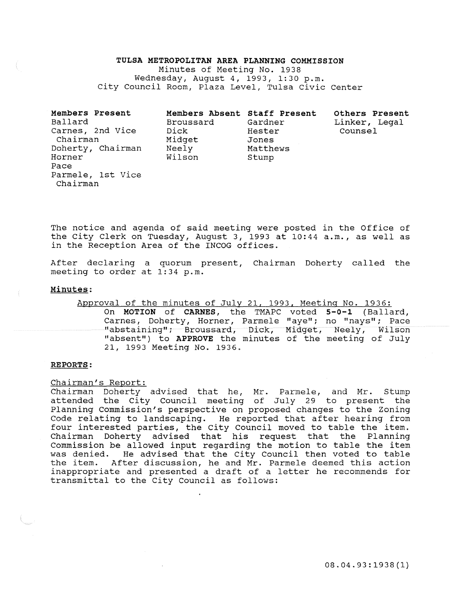#### TULSA METROPOLITAN AREA PLANNING COMMISSION

Minutes of Meeting No. 1938 Wednesday, August 4, 1993, 1:30 p.m. City Council Room, Plaza Level, Tulsa Civic Center

| Members Present<br>Ballard<br>Carnes, 2nd Vice<br>Chairman<br>Doherty, Chairman<br>Horner<br>Pace | Members Absent Staff Present<br>Broussard<br>Dick<br>Midget<br>Neely<br>Wilson | Gardner<br>Hester<br>Jones<br>Matthews<br>Stump | Others Present<br>Linker, Legal<br>Counsel |
|---------------------------------------------------------------------------------------------------|--------------------------------------------------------------------------------|-------------------------------------------------|--------------------------------------------|
| Parmele, 1st Vice<br>Chairman                                                                     |                                                                                |                                                 |                                            |

The notice and agenda of said meeting were posted in the Office of the City Clerk on Tuesday, August 3, 1993 at 10:44 a.m., as well as in the Reception Area of the INCOG offices.

After declaring a quorum present, Chairman Doherty called the meeting to order at 1:34 p.m.

### Minutes:

# Approval of the minutes of July 21, 1993, Meeting No. 1936: On MOTION of CARNES, the TMAPC voted 5-0-1 (Ballard, Carnes, Doherty, Horner, Parmele "aye"; no "nays"; Pace "abstaining"; Broussard, Dick, Midget, Neely, Wilson "absent") to APPROVE the minutes of the meeting of July 21, 1993 Meeting No. 1936.

#### REPORTS:

#### Chairman's Report:

Chairman Doherty advised that he, Mr. Parmele, and Mr. Stump attended the City Council meeting of July 29 to present the Planning Commission's perspective on proposed changes to the Zoning Code relating to landscaping. He reported that after hearing from four interested parties, the City Council moved to table the item. Chairman Doherty advised that his request that the Planning Commission be allowed input regarding the motion to table the item was denied. He advised that the City Council then voted to table the item. After discussion, he and Mr. Parmele deemed this action inappropriate and presented a draft of a letter he recommends for transmittal to the City Council as follows: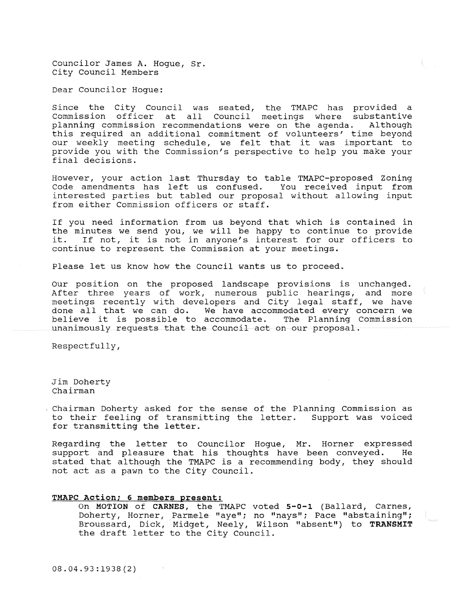Councilor James A. Hogue, Sr. City Council Members

Dear Councilor Hogue:

Since the City Council was seated, the TMAPC has provided a Commission officer at all Council meetings where substantive<br>planning commission recommendations were on the agenda. Although planning commission recommendations were on the agenda. this required an additional commitment of volunteers' time beyond our weekly meeting schedule, we felt that it was important to provide you with the Commission's perspective to help you make your final decisions.

However, your action last Thursday to table TMAPC-proposed Zoning Code amendments has left us confused. You received input from interested parties but tabled our proposal without allowing input from either Commission officers or staff.

If you need information from us beyond that which is contained in the minutes we send you, we will be happy to continue to provide<br>it. If not, it is not in anyone's interest for our officers to If not, it is not in anyone's interest for our officers to continue to represent the Commission at your meetings.

Please let us know how the Council wants us to proceed.

our position on the proposed landscape provisions is unchanged. After three years of work, numerous public hearings, and more meetings recently with developers and City legal staff, we have meetings recentry with deveropers and tity regar starf, we have done all that we can do. We have accommodated every concern we aone all that we can do. we have accommodated every concern we<br>believe it is possible to accommodate. The Planning Commission unanimously requests that the Council act on our proposal.

Respectfully,

Jim Doherty Chairman

Chairman Doherty asked for the sense of the Planning Commission as to their feeling of transmitting the letter. Support was voiced for transmitting the letter.

Regarding the letter to Councilor Hogue, Mr. Horner expressed support and pleasure that his thoughts have been conveyed. He stated that although the TMAPC is a recommending body, they should not act as a pawn to the City Council.

#### **TMAPC Action; 6 members present:**

On MOTION of **CARNES,** the TMAPC voted **5-0-l** (Ballard, Carnes, Doherty, Horner, Parmele "aye"; no "nays"; Pace "abstaining"; Broussard, Dick, Midget, Neely, Wilson "absent") to TRANSMIT the draft letter to the City Council.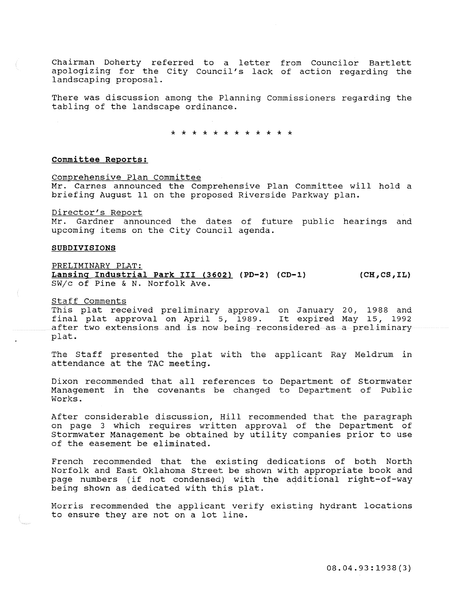Chairman Doherty referred to a letter from Councilor Bartlett apologizing for the City Council's lack of action regarding the landscaping proposal.

There was discussion among the Planning Commissioners regarding the tabling of the landscape ordinance.

\* \* \* \* \* \* \* \* \* \* \* \*

## committee Reports:

Comprehensive Plan Committee Mr. Carnes announced the Comprehensive Plan Committee will hold a briefing August 11 on the proposed Riverside Parkway plan.

Director's Report

Mr. Gardner announced the dates of future public hearings and upcoming items on the City Council agenda.

#### SUBDIVISIONS

PRELIMINARY PLAT:

Lansing Industrial Park III (3602) (PD-2) (CD-1) SW/c of Pine & N. Norfolk Ave.  $(CH, CS, IL)$ 

Staff Comments

This plat received preliminary approval on January 20, 1988 and final plat approval on April 5, 1989. It expired May 15, 1992 after two extensions and is now being reconsidered as a preliminary plat.

The Staff presented the plat with the applicant Ray Meldrum in attendance at the TAC meeting.

Dixon recommended that all references to Department of Stormwater Management in the covenants be changed to Department of Public Works.

After considerable discussion, Hill recommended that the paragraph on page 3 which requires written approval of the Department of Stormwater Management be obtained by utility companies prior to use of the easement be eliminated.

French recommended that the existing dedications of both North Norfolk and East Oklahoma Street be shown with appropriate book and page numbers (if not condensed) with the additional right-of-way being shown as dedicated with this plat.

Morris recommended the applicant verify existing hydrant locations to ensure they are not on a lot line.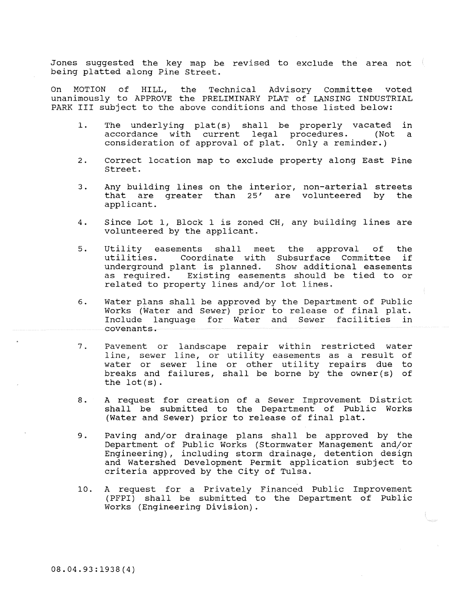Jones suggested the key map be revised to exclude the area not being platted along Pine Street.

On MOTION of HILL, the Technical Advisory Committee voted unanimously to APPROVE the PRELIMINARY PLAT of LANSING INDUSTRIAL PARK III subject to the above conditions and those listed below:

- 1. The underlying plat(s) shall be properly vacated accordance with current legal procedures. (Not consideration of approval of plat. Only a reminder.) in a
- 2. Correct location map to exclude property along East Pine Street.
- 3 . Any building lines on the interior, non-arterial streets that are greater than 25' are volunteered by the applicant.
- 4. Since Lot 1, Block 1 is zoned CH, any building lines are volunteered by the applicant.
- 5. Utility easements shall meet the approval of the Coordinate with Subsurface Committee underground plant is planned. Show additional easements as required. Existing easements should be tied to or related to property lines and/or lot lines.
- 6. Water plans shall be approved by the Department of Public Works (Water and Sewer) prior to release of final plat. Include language for Water and Sewer facilities in covenants.
- .., I Pavement or landscape repair within restricted water line, sewer line, or utility easements as a result of Inc, Sewer Tine, or actively easements as a result of breaks and failures, shall be borne by the owner(s) of the lot(s).
- 8. A request for creation of a Sewer Improvement District shall be submitted to the Department of Public Works (Water and Sewer) prior to release of final plat.
- 9. Paving and/or drainage plans shall be approved by the Department of Public Works (Stormwater Management andjor Engineering), including storm drainage, detention design and Watershed Development Permit application subject to criteria approved by the City of Tulsa.
- 10. A request for a Privately Financed Public Improvement (PFPI) shall be submitted to the Department of Public Works (Engineering Division).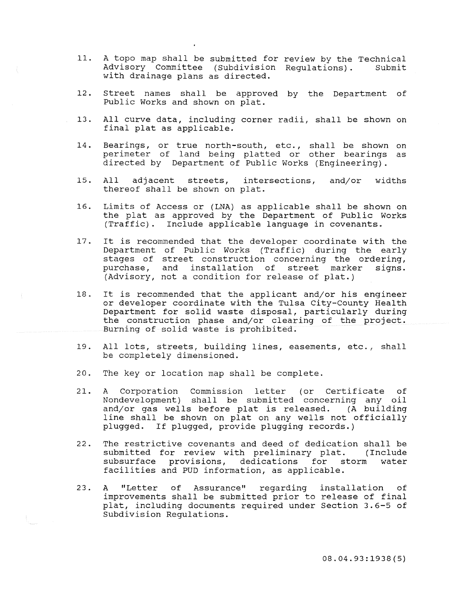- 11. A topo map shall be submitted for review by the Technical<br>Advisory Committee (Subdivision Requiations). Submit Advisory Committee (Subdivision Regulations). with drainage plans as directed.
- 12. Street names shall be approved by the Department of Public Works and shown on plat.
- 13. All curve data, including corner radii, shall be shown on final plat as applicable.
- 14. Bearings, or true north-south, etc., shall be shown on perimeter of land being platted or other bearings as directed by Department of Public Works (Engineering).
- 15. All adjacent streets, intersections, and/or widths All adjacent streets, inter<br>thereof shall be shown on plat.
- 16. Limits of Access or (LNA) as applicable shall be shown on the plat as approved by the Department of Public Works (Traffic). Include applicable language in covenants.
- 17. It is recommended that the developer coordinate with the Department of Public Works (Traffic) during the early stages of street construction concerning the ordering, purchase, and installation of street marker signs. (Advisory, not a condition for release of plat.)
- 18. It is recommended that the applicant and/or his engineer or developer coordinate with the Tulsa City-County Health Department for solid waste disposal, particularly during the construction phase and/or clearing of the project. Burning of solid waste is prohibited.
- **19. All lots, streets, building lines, easements, etc., shall**  be completely dimensioned.
- 20. The key or location map shall be complete.
- 21. A Corporation Commission letter (or Certificate of Nondevelopment) shall be submitted concerning any oil and/or gas wells before plat is released. (A building line shall be shown on plat on any wells not officially plugged. If plugged, provide plugging records.)
- 22. The restrictive covenants and deed of dedication shall be submitted for review with preliminary plat. (Include subsurface provisions, dedications for storm water subsurface provisions, dedications for storm facilities and PUD information, as applicable.
- 23. A "Letter of Assurance" regarding installation of improvements shall be submitted prior to release of final plat, including documents required under Section 3.6-5 of Subdivision Regulations.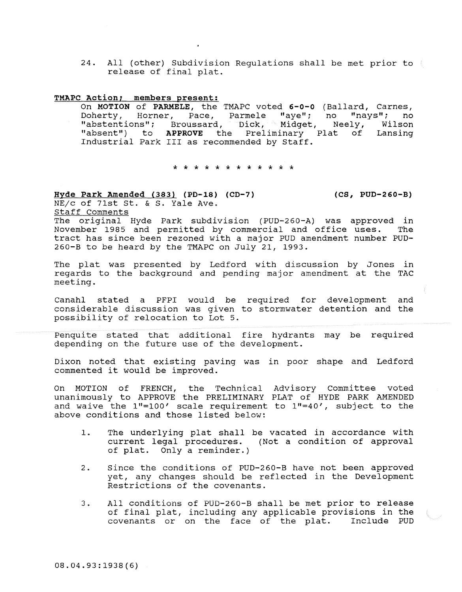24. All (other) Subdivision Regulations shall be met prior to release of final plat.

## **TMAPC Action; members present:**

On **MOTION of PARMELE,** the TMAPC voted **6-0-0** (Ballard, Carnes, Doherty, Horner, Pace, Parmele "aye"; no "nays"; no<br>"abstentions"; Broussard, Dick, Midget, Neely, Wilson "abstentions"; Broussard, Dick, Midget, Neely, Wilson<br>"absent") to APPROVE the Preliminary Plat of Lansing APPROVE the Preliminary Plat of Industrial Park III as recommended by Staff.

\* \* \* \* \* \* \* \* \* \* \* \*

**Hyde Park Amended (383) (PD-18) (CD-7) (CS, PUD-260-B)**  *NEjc* of 71st St. & s. Yale Ave.

Staff Comments

The original Hyde Park subdivision (PUD-260-A) was approved in November 1985 and permitted by commercial and office uses. The tract has since been rezoned with a major PUD amendment number PUD-260-B to be heard by the TMAPC on July 21, 1993.

The plat was presented by Ledford with discussion by Jones in regards to the background and pending major amendment at the TAC meeting.

Canahl stated a PFPI would be required for development and considerable discussion was given to stormwater detention and the possibility of relocation to Lot 5.

Penquite stated that additional fire hydrants may be required depending on the future use of the development.

Dixon noted that existing paving was in poor shape and Ledford commented it would be improved.

On MOTION of FRENCH, the Technical Advisory Committee voted unanimously to APPROVE the PRELIMINARY PLAT of HYDE PARK AMENDED and waive the 1"=100' scale requirement to 1"=40', subject to the above conditions and those listed below:

- 1. The underlying plat shall be vacated in accordance with current legal procedures. (Not a condition of approval of plat. Only a reminder.)
- 2. Since the conditions of PUD-260-B have not been approved yet, any changes should be reflected in the Development Restrictions of the covenants.
- 3. All conditions of PUD-260-B shall be met prior to release of final plat, including any applicable provisions in the covenants or on the face of the plat. Include PUD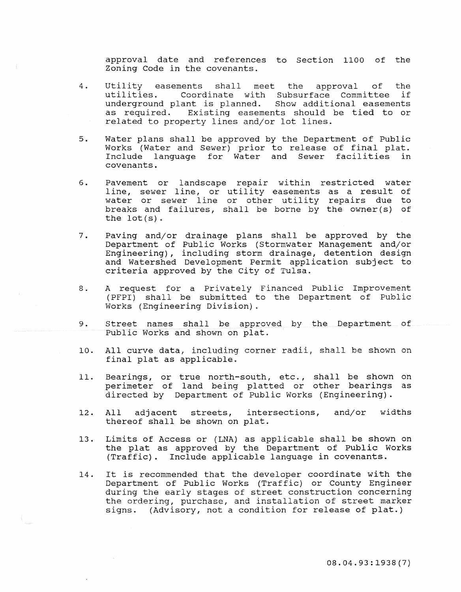approval date and references to Section 1100 of the Zoning Code in the covenants.

- 4. Utility easements shall meet the approval of the<br>utilities. Coordinate with Subsurface Committee if Coordinate with Subsurface Committee if<br>.ant is planned. Show additional easements underground plant is planned.<br>As required. Existing easeme Existing easements should be tied to or related to property lines and/or lot lines.
- 5. Water plans shall be approved by the Department of Public Works (Water and Sewer) prior to release of final plat. Include language for Water and Sewer facilities in covenants.
- 6. Pavement or landscape repair within restricted water line, sewer line, or utility easements as a result of Inne, sewer line, or actificy easements as a result of hasser of Bower time of somer addring repairs and so the lot(s).
- 7. Paving and/or drainage plans shall be approved by the Department of Public Works (Stormwater Management andjor Engineering), including storm drainage, detention design and Watershed Development Permit application subject to criteria approved by the City of Tulsa.
- 8. A request for a Privately Financed Public Improvement (PFPI) shall be submitted to the Department of Public Works (Engineering Division) .
- 9. Street names shall be approved by the Department of Public Works and shown on plat.
- 10. All curve data, including corner radii, shall be shown on final plat as applicable.
- 11. Bearings, or true north-south, etc., shall be shown perimeter of land being platted or other bearings directed by Department of Public Works (Engineering). on as
- 12. All adjacent streets, intersections, and/or widths All adjacent streets, inter<br>thereof shall be shown on plat.
- 13. Limits of Access or (LNA) as applicable shall be shown on the plat as approved by the Department of Public Works (Traffic). Include applicable language in covenants.
- 14. It is recommended that the developer coordinate with the Department of Public Works (Traffic) or County Engineer during the early stages of street construction concerning the ordering, purchase, and installation of street marker signs. (Advisory, not a condition for release of plat.)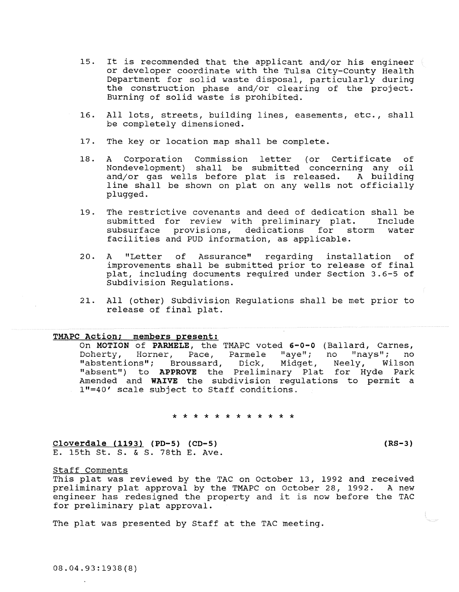- 15. It is recommended that the applicant and/or his engineer or developer coordinate with the Tulsa city-County Health Department for solid waste disposal, particularly during the construction phase and/or clearing of the project. Burning of solid waste is prohibited.
- 16. All lots, streets, building lines, easements, etc., shall be completely dimensioned.
- 17. The key or location map shall be complete.
- 18. A Corporation Commission letter (or Certificate of Nondevelopment) shall be submitted concerning any oil and/or gas wells before plat is released. A building line shall be shown on plat on any wells not officially plugged.
- 19. The restrictive covenants and deed of dedication shall be submitted for review with preliminary plat. Include submitted for review with preliminary plat. subsurface provisions, dedications for storm water facilities and PUD information, as applicable.
- 20. A "Letter of Assurance" regarding improvements shall be submitted prior to release of final plat, including documents required under Section 3.6-5 of Subdivision Regulations. installation of
- 21. All (other) Subdivision Regulations shall be met prior to release of final plat.

# TMAPC **Action; members present:**

On MOTION of PARMELE, the TMAPC voted 6-0-0 (Ballard, Carnes, Doherty, Horner, Pace, Parmele "aye"; no "nays"; no "abstentions"; Broussard, Dick, Midget, Neely, Wilson "absent") to **APPROVE** the Preliminary Plat for Hyde Park Amended and **WAIVE** the subdivision regulations to permit a 1"=40' scale subject to Staff conditions.

\* \* \* \* \* \* \* \* \* \* \* \*

**Cloverdale ( 1193) (PD-5) (CD-5)**  E. 15th St. S. & S. 78th E. Ave. **(RS-3)** 

Staff Comments

This plat was reviewed by the TAC on October 13, 1992 and received preliminary plat approval by the TMAPC on October 28, 1992. A new engineer has redesigned the property and it is now before the TAC for preliminary plat approval.

The plat was presented by Staff at the TAC meeting.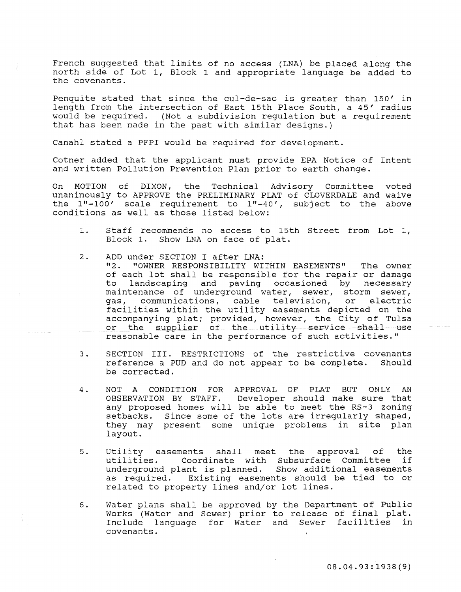French suggested that limits of no access (LNA) be placed along the north side of Lot 1, Block 1 and appropriate language be added to the covenants.

Penquite stated that since the cul-de-sac is greater than 150' in length from the intersection of East 15th Place South, a 45' radius would be required. (Not a subdivision regulation but a requirement that has been made in the past with similar designs.)

Canahl stated a PFPI would be required for development.

Cotner added that the applicant must provide EPA Notice of Intent and written Pollution Prevention Plan prior to earth change.

On MOTION of DIXON, the Technical Advisory Committee voted unanimously to APPROVE the PRELIMINARY PLAT of CLOVERDALE and waive the  $1" = 100'$  scale requirement to  $1" = 40'$ , subject to the above conditions as well as those listed below:

- 1. Staff recommends no access to 15th Street from Lot 1, Block 1. Show LNA on face of plat.
- 2. ADD under SECTION I after LNA:<br>"2. "OWNER RESPONSIBILITY WITHIN EASEMENTS" The owner of each lot shall be responsible for the repair or damage to landscaping and paving occasioned by necessary maintenance of underground water, sewer, storm sewer, gas, communications, cable television, or electric facilities within the utility easements depicted on the accompanying plat; provided, however, the City of Tulsa<br>or the supplier of the utility service shall use the supplier of the utility service shall use reasonable care in the performance of such activities."
- 3. SECTION III. RESTRICTIONS of the restrictive covenants reference a PUD and do not appear to be complete. Should be corrected.
- 4. NOT A CONDITION FOR APPROVAL OF PLAT BUT ONLY AN OBSERVATION BY STAFF. Developer should make sure that any proposed homes will be able to meet the RS-3 zoning any proposed nomes with se asid to meet the no 3 forming setbacks. Since some of the lots are irregularly shaped, secbacks. Since some of the focs are firegurally shaped,<br>they may present some unique problems in site plan layout.
- 5. Utility easements shall meet the approval of the utilities. Coordinate with Subsurface Committee if underground plant is planned. Show additional easements<br>as required. Existing easements should be tied to or Existing easements should be tied to or related to property lines and/or lot lines.
- 6. **Water plans shall**  be approved by the Department of Public Works (Water and Include language covenants. sewer) prior to release of final plat. ewer, prior co refease of final prac.<br>for Water and Sewer facilities in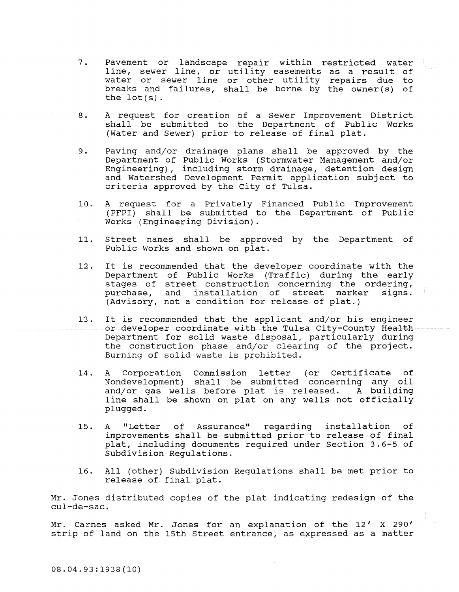- 7. Pavement or landscape repair within restricted water line, sewer line, or utility easements as a result of The, Sewer line, of activity cabements as a result of breaks and failures, shall be borne by the owner(s) of the lot(s).
- 8. A request for creation of a Sewer Improvement District shall be submitted to the Department of Public Works (Water and Sewer) prior to release of final plat.
- 9. Paving and/or drainage plans shall be approved by the Department of Public Works (Stormwater Management and/or Engineering), including storm drainage, detention design and Watershed Development Permit application subject to criteria approved by the city of Tulsa.
- 10. A request for a Privately Financed Public Improvement (PFPI) shall be submitted to the Department of Public Works (Engineering Division).
- 11. Street names shall be approved by the Department of Public Works and shown on plat.
- 12. It is recommended that the developer coordinate with the Department of Public Works (Traffic) during the early stages of street construction concerning the ordering,<br>purchase, and installation of street marker signs. and installation of (Advisory, not a condition for release of plat.)
- 13. It is recommended that the applicant and/or his engineer or developer coordinate with the Tulsa City-County Health Department for solid waste disposal, particularly during the construction phase and/or clearing of the project. **Burning of solid waste is prohibited.**
- 14. A Corporation Commission letter (or Certificate of Nondevelopment) shall be submitted concerning any oil and/or gas wells before plat is released. A building line shall be shown on plat on any wells not officially plugged.
- 15. A "Letter of Assurance" regarding improvements shall be submitted prior to release of final plat, including documents required under Section 3.6-5 of Subdivision Regulations. installation of
- 16. All (other) Subdivision Regulations shall be met prior to release of. final plat.

Mr. Jones distributed copies of the plat indicating redesign of the cul-de-sac.

Mr. Carnes asked Mr. Jones for an explanation of the 12' X 290' strip of land on the 15th Street entrance, as expressed as a matter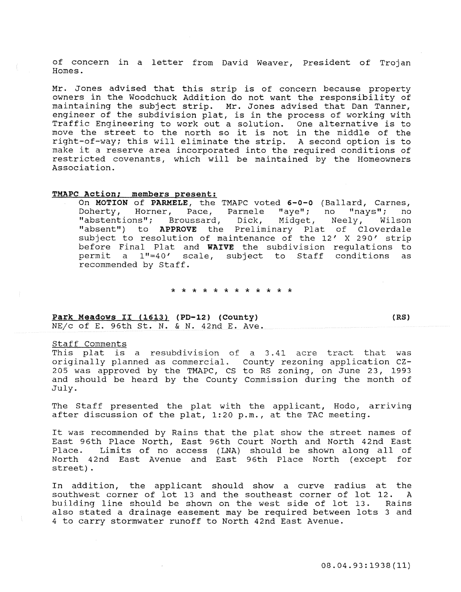of concern in a letter from David Weaver, President of Trojan Homes.

Mr. Jones advised that this strip is of concern because property owners in the Woodchuck Addition do not want the responsibility of maintaining the subject strip. Mr. Jones advised that Dan Tanner, engineer of the subdivision plat, is in the process of working with Traffic Engineering to work out a solution. One alternative is to Trailic Engineering to work out a solution. One alternative is to<br>move the street to the north so it is not in the middle of the right-of-way; this will eliminate the strip. A second option is to make it a reserve area incorporated into the required conditions of restricted covenants, which will be maintained by the Homeowners Association.

## TMAPC Action; members present:

On MOTION of PARMELE, the TMAPC voted 6-0-0 (Ballard, Carnes, Doherty, Horner, Pace, Parmele "aye"; no "nays"; no<br>"abstentions"; Broussard, Dick, Midget, Neely, Wilson "abstentions"; Broussard, Dick, Midget, Neely, "absent") to APPROVE the Preliminary Plat of Cloverdale subject to resolution of maintenance of the 12' X 290' strip before Final Plat and WAIVE the subdivision regulations to permit a 1"=40' scale, subject to Staff conditions as recommended by Staff.

#### \* \* \* \* \* \* \* \* \* \* \* \*

### Park Meadows II (1613) (PD-12) (County) *NEjc* of E. 96th St. N. & N. 42nd E. Ave.

#### Staff Comments

This plat is a resubdivision of a 3.41 acre tract that was originally planned as commercial. County rezoning application CZ-205 was approved by the TMAPC, CS to RS zoning, on June 23, 1993 and should be heard by the County Commission during the month of July.

The Staff presented the plat with the applicant, Hodo, arriving after discussion of the plat, 1:20 p.m., at the TAC meeting.

It was recommended by Rains that the plat show the street names of East 96th Place North, East 96th Court North and North 42nd East Place. Limits of no access (LNA) should be shown along all of North 42nd East Avenue and East 96th Place North (except for street) .

In addition, the applicant should show a curve radius at the southwest corner of lot 13 and the southeast corner of lot 12. A building line should be shown on the west side of lot 13. Rains also stated a drainage easement may be required between lots 3 and 4 to carry stormwater runoff to North 42nd East Avenue.

(RS)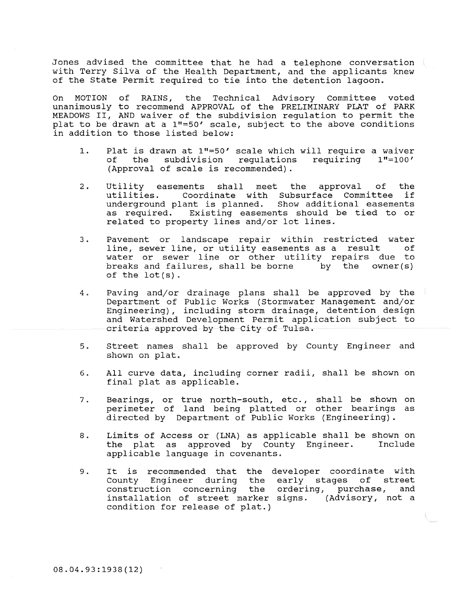Jones advised the committee that he had a telephone conversation  $\langle$ with Terry Silva of the Health Department, and the applicants knew of the State Permit required to tie into the detention lagoon.

On MOTION of RAINS, the Technical Advisory Committee voted unanimously to recommend APPROVAL of the PRELIMINARY PLAT of PARK MEADOWS II, AND waiver of the subdivision regulation to permit the plat to be drawn at a 1"=50' scale, subject to the above conditions in addition to those listed below:

- 1. Plat is drawn at 1"=50' scale which will require a waiver<br>of the subdivision requlations requiring 1"=100' subdivision requlations (Approval of scale is recommended) .
- 2. Utility easements shall meet the approval of the<br>utilities. Coordinate with Subsurface Committee if Coordinate with Subsurface Committee underground plant is planned. Show additional easements as required. Existing easements should be tied to or related to property lines and/or lot lines.
- 3. Pavement or landscape repair within restricted water line, sewer line, or utility easements as a result of water or sewer line or other utility repairs due to breaks and failures, shall be borne by the owner(s) of the lot(s).
- 4. Paving and/or drainage plans shall be approved by the Department of Public Works (Stormwater Management and/or Engineering), including storm drainage, detention design and Watershed Development Permit application subject to criteria approved by the City of Tulsa.
- 5. Street names shall be approved by County Engineer and shown on plat.
- 6. All curve data, including corner radii, shall be shown on final plat as applicable.
- 7. Bearings, or true north-south, etc., shall be shown on perimeter of land being platted or other bearings as directed by Department of Public Works (Engineering) .
- 8. Limits of Access or (LNA) as applicable shall be shown on<br>the plat as approved by County Engineer. Include the plat as approved by County Engineer. applicable language in covenants.
- 9 . It is recommended that the developer coordinate with County Engineer during the construction concerning the installation of street marker signs. (Advisory, not a condition for release of plat.) early stages of street ordering, purchase, and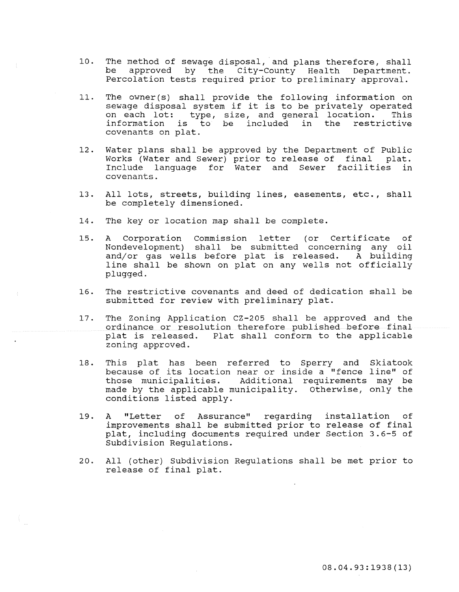- 10. The method of sewage disposal, and plans therefore, shall<br>be approved by the City-County Health Department. approved by the City-County Health Department. Percolation tests required prior to preliminary approval.
- 11. The owner(s) shall provide the following information on sewage disposal system if it is to be privately operated<br>on each lot: type, size, and general location. This on each lot: type, size, and general location. information is to be included in the restrictive covenants on plat.
- 12. Water plans shall be approved by the Department of Public<br>Works (Water and Sewer) prior to release of final plat. Works (Water and Sewer) prior to release of final Include language for Water and Sewer facilities in covenants.
- 13. All lots, streets, building lines, easements, etc., shall be completely dimensioned.
- 14. The key or location map shall be complete.
- 15. A Corporation Commission letter (or Certificate of Nondevelopment) shall be submitted concerning any oil and/or gas wells before plat is released. A building line shall be shown on plat on any wells not officially plugged.
- 16. The restrictive covenants and deed of dedication shall be submitted for review with preliminary plat.
- 17. The Zoning Application CZ-205 shall be approved and the ordinance or resolution therefore published before final plat is released. Plat shall conform to the applicable zoning approved.
- 18. This plat has been referred to Sperry and Skiatook because of its location near or inside a "fence line" of those municipalities. Additional requirements may be made by the applicable municipality. Otherwise, only the conditions listed apply.
- 19. A "Letter of Assurance" improvements shall be submitted prior to release of final plat, including documents required under Section 3.6-5 of Subdivision Regulations. regarding installation of
- 20. All (other) Subdivision Regulations shall be met prior to release of final plat.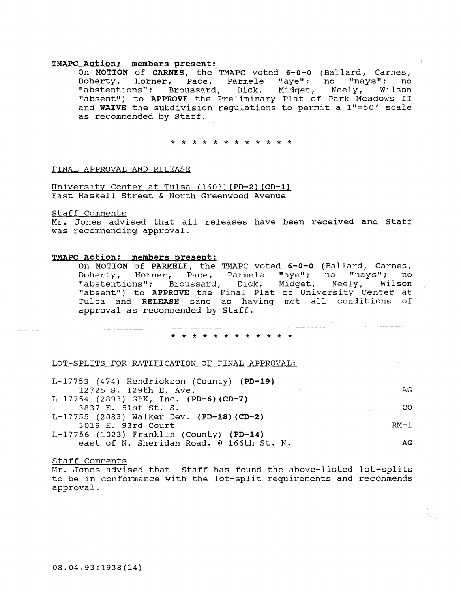### TMAPC Action; members present:

On MOTION of CARNES, the TMAPC voted 6-0-0 (Ballard, Carnes, Doherty, Horner, Pace, Parmele "aye"; no "nays"; no "abstentions"; Broussard, Dick, Midget, Neely, Wilson "absent") to APPROVE the Preliminary Plat of Park Meadows II and WAIVE the subdivision regulations to permit a 1"=50' scale as recommended by Staff.

\* \* \* \* \* \* \* \* \* \* \* \*

#### FINAL APPROVAL AND RELEASE

University Center at Tulsa (3603) (PD-2) (CD-1) East Haskell Street & North Greenwood Avenue

#### Staff Comments

Mr. Jones advised that all releases have been received and Staff was recommending approval.

#### TMAPC Action; members present:

On MOTION of PARMELE, the TMAPC voted 6-0-0 (Ballard, Carnes, Doherty, Horner, Pace, Parmele "aye"; no "nays"; no "abstentions"; Broussard, Dick, Midget, Neely, Wilson "absent") to APPROVE the Final Plat of University Center at Tulsa and RELEASE same as having met all conditions of approval as recommended by Staff.

#### \* \* \* \* \* \* \* \* \* \* \* \*

#### LOT-SPLITS FOR RATIFICATION OF FINAL APPROVAL:

| L-17753 (474) Hendrickson (County) (PD-19) |        |  |  |
|--------------------------------------------|--------|--|--|
| 12725 S. 129th E. Ave.                     | AG.    |  |  |
| $L-17754$ (2893) GBK, Inc. (PD-6) (CD-7)   |        |  |  |
| 3837 E. 51st St. S.                        | CO.    |  |  |
| L-17755 (2083) Walker Dev. (PD-18) (CD-2)  |        |  |  |
| 3019 E. 93rd Court                         | $RM-1$ |  |  |
| $L-17756$ (1023) Franklin (County) (PD-14) |        |  |  |
| east of N. Sheridan Road. @ 166th St. N.   | AG.    |  |  |

#### Staff Comments

Mr. Jones advised that Staff has found the above-listed lot-splits to be in conformance with the lot-split requirements and recommends approval.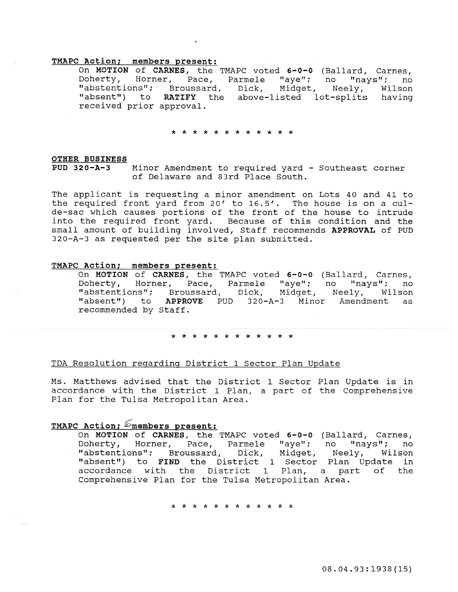# TMAPC Action; members oresent:

On MOTION of CARNES, the TMAPC voted 6-0-0 (Ballard, Carnes, Doherty, Horner, Pace, Parmele "aye"; no "nays"; no "abstentions"; Broussard, Dick, Midget, Neely, Wilson "absent") to RATIFY the above-listed lot-splits having received prior approval.

\* \* \* \* \* \* \* \* \* \* \* \*

# OTHER BUSINESS<br>PUD 320-A-3

Minor Amendment to required yard - Southeast corner of Delaware and 83rd Place South.

The applicant is requesting a minor amendment on Lots 40 and 41 to the required front yard from 20' to 16.5'. The house is on a culde-sac which causes portions of the front of the house to intrude into the required front yard. Because of this condition and the small amount of building involved, Staff recommends APPROVAL of PUD 320-A-3 as requested per the site plan submitted.

#### TMAPC Action; members present:

On MOTION of CARNES, the TMAPC voted 6-0-0 (Ballard, Carnes, no "nays"; no Neely, Wilson "absent") to APPROVE PUD 320-A-3 Minor Amendment as Doherty, Horner, Pace, Parmele "aye" ; "abstentions"; Broussard, Dick, Midget, "absent") to APPRO<br>recommended by Staff.

#### \* \* \* \* \* \* \* \* \* \* \* \*

#### TDA Resolution regarding District 1 Sector Plan Update

Ms. Matthews advised that the District 1 Sector Plan Update is in accordance with the District 1 Plan, a part of the Comprehensive Plan for the Tulsa Metropolitan Area.

## TMAPC Action;  $\mathscr{D}$ members present:

On MOTION of CARNES, the TMAPC voted 6-0-0 (Ballard, Carnes, Doherty, Horner, Pace, Parmele "aye"; no "nays"; no "abstentions"; Broussard, Dick, Midget, Neely, Wilson "absent") to FIND the District 1 Sector Plan Update in accordance with the District 1 Plan, a part of the Comprehensive Plan for the Tulsa Metropolitan Area.

\* \* \* \* \* \* \* \* \* \* \* \*